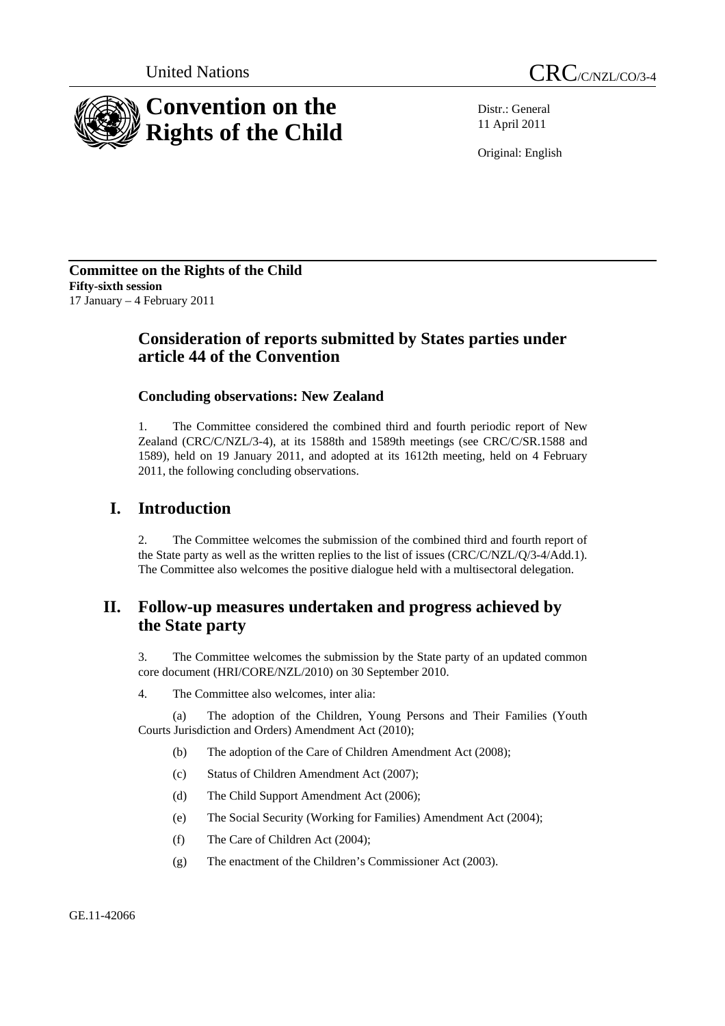

Distr.: General 11 April 2011

Original: English

**Committee on the Rights of the Child Fifty-sixth session**  17 January – 4 February 2011

# **Consideration of reports submitted by States parties under article 44 of the Convention**

# **Concluding observations: New Zealand**

1. The Committee considered the combined third and fourth periodic report of New Zealand (CRC/C/NZL/3-4), at its 1588th and 1589th meetings (see CRC/C/SR.1588 and 1589), held on 19 January 2011, and adopted at its 1612th meeting, held on 4 February 2011, the following concluding observations.

# **I. Introduction**

2. The Committee welcomes the submission of the combined third and fourth report of the State party as well as the written replies to the list of issues (CRC/C/NZL/Q/3-4/Add.1). The Committee also welcomes the positive dialogue held with a multisectoral delegation.

# **II. Follow-up measures undertaken and progress achieved by the State party**

3. The Committee welcomes the submission by the State party of an updated common core document (HRI/CORE/NZL/2010) on 30 September 2010.

4. The Committee also welcomes, inter alia:

(a) The adoption of the Children, Young Persons and Their Families (Youth Courts Jurisdiction and Orders) Amendment Act (2010);

- (b) The adoption of the Care of Children Amendment Act (2008);
- (c) Status of Children Amendment Act (2007);
- (d) The Child Support Amendment Act (2006);
- (e) The Social Security (Working for Families) Amendment Act (2004);
- (f) The Care of Children Act (2004);
- (g) The enactment of the Children's Commissioner Act (2003).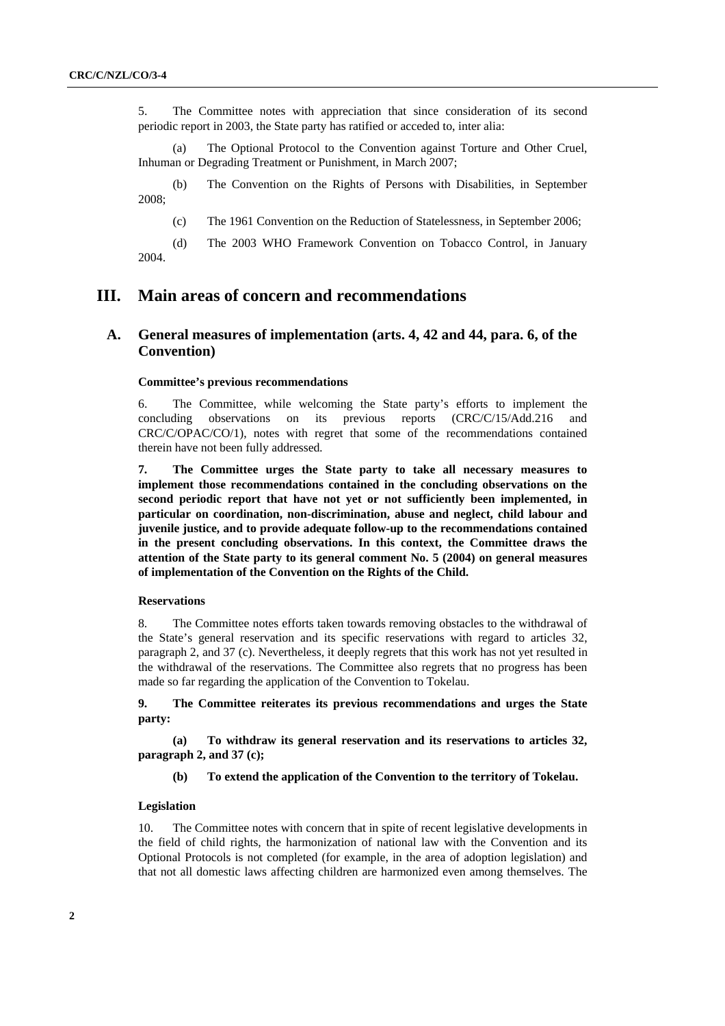5. The Committee notes with appreciation that since consideration of its second periodic report in 2003, the State party has ratified or acceded to, inter alia:

(a) The Optional Protocol to the Convention against Torture and Other Cruel, Inhuman or Degrading Treatment or Punishment, in March 2007;

(b) The Convention on the Rights of Persons with Disabilities, in September 2008;

(c) The 1961 Convention on the Reduction of Statelessness, in September 2006;

(d) The 2003 WHO Framework Convention on Tobacco Control, in January 2004.

# **III. Main areas of concern and recommendations**

# **A. General measures of implementation (arts. 4, 42 and 44, para. 6, of the Convention)**

#### **Committee's previous recommendations**

6. The Committee, while welcoming the State party's efforts to implement the concluding observations on its previous reports (CRC/C/15/Add.216 and CRC/C/OPAC/CO/1), notes with regret that some of the recommendations contained therein have not been fully addressed*.* 

**7. The Committee urges the State party to take all necessary measures to implement those recommendations contained in the concluding observations on the second periodic report that have not yet or not sufficiently been implemented, in particular on coordination, non-discrimination, abuse and neglect, child labour and juvenile justice, and to provide adequate follow-up to the recommendations contained in the present concluding observations. In this context, the Committee draws the attention of the State party to its general comment No. 5 (2004) on general measures of implementation of the Convention on the Rights of the Child.** 

#### **Reservations**

8. The Committee notes efforts taken towards removing obstacles to the withdrawal of the State's general reservation and its specific reservations with regard to articles 32, paragraph 2, and 37 (c). Nevertheless, it deeply regrets that this work has not yet resulted in the withdrawal of the reservations. The Committee also regrets that no progress has been made so far regarding the application of the Convention to Tokelau.

**9. The Committee reiterates its previous recommendations and urges the State party:** 

**(a) To withdraw its general reservation and its reservations to articles 32, paragraph 2, and 37 (c);** 

**(b) To extend the application of the Convention to the territory of Tokelau.** 

#### **Legislation**

10. The Committee notes with concern that in spite of recent legislative developments in the field of child rights, the harmonization of national law with the Convention and its Optional Protocols is not completed (for example, in the area of adoption legislation) and that not all domestic laws affecting children are harmonized even among themselves. The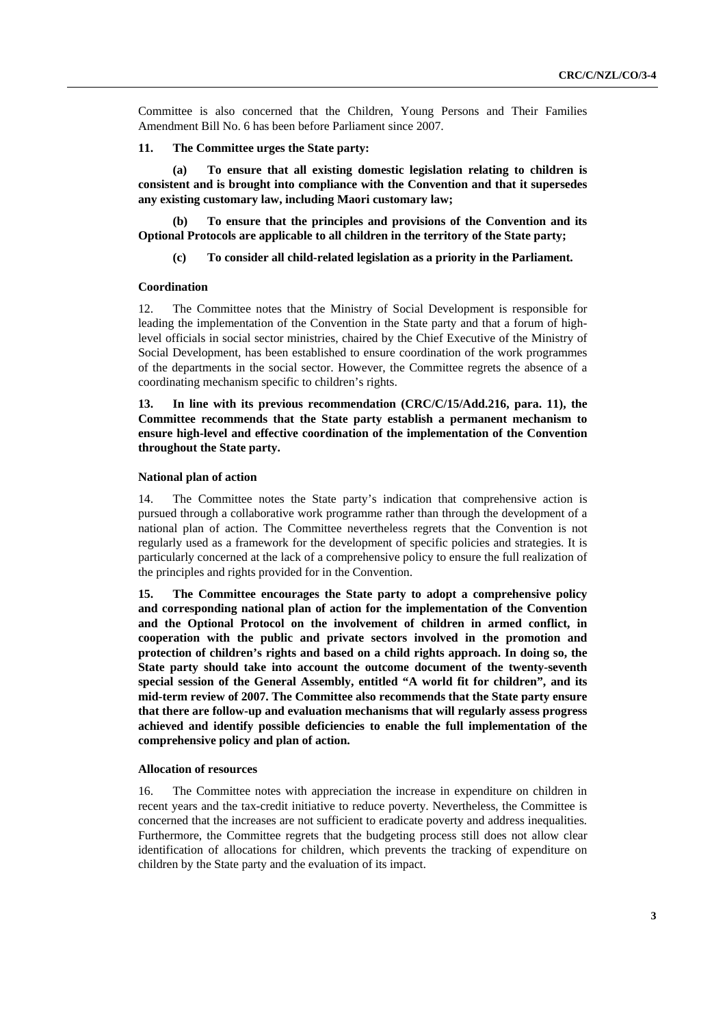Committee is also concerned that the Children, Young Persons and Their Families Amendment Bill No. 6 has been before Parliament since 2007.

#### **11. The Committee urges the State party:**

**(a) To ensure that all existing domestic legislation relating to children is consistent and is brought into compliance with the Convention and that it supersedes any existing customary law, including Maori customary law;** 

**(b) To ensure that the principles and provisions of the Convention and its Optional Protocols are applicable to all children in the territory of the State party;** 

## **(c) To consider all child-related legislation as a priority in the Parliament.**

## **Coordination**

12. The Committee notes that the Ministry of Social Development is responsible for leading the implementation of the Convention in the State party and that a forum of highlevel officials in social sector ministries, chaired by the Chief Executive of the Ministry of Social Development, has been established to ensure coordination of the work programmes of the departments in the social sector. However, the Committee regrets the absence of a coordinating mechanism specific to children's rights.

**13. In line with its previous recommendation (CRC/C/15/Add.216, para. 11), the Committee recommends that the State party establish a permanent mechanism to ensure high-level and effective coordination of the implementation of the Convention throughout the State party.** 

## **National plan of action**

14. The Committee notes the State party's indication that comprehensive action is pursued through a collaborative work programme rather than through the development of a national plan of action. The Committee nevertheless regrets that the Convention is not regularly used as a framework for the development of specific policies and strategies. It is particularly concerned at the lack of a comprehensive policy to ensure the full realization of the principles and rights provided for in the Convention.

**15. The Committee encourages the State party to adopt a comprehensive policy and corresponding national plan of action for the implementation of the Convention and the Optional Protocol on the involvement of children in armed conflict, in cooperation with the public and private sectors involved in the promotion and protection of children's rights and based on a child rights approach. In doing so, the State party should take into account the outcome document of the twenty-seventh special session of the General Assembly, entitled "A world fit for children", and its mid-term review of 2007. The Committee also recommends that the State party ensure that there are follow-up and evaluation mechanisms that will regularly assess progress achieved and identify possible deficiencies to enable the full implementation of the comprehensive policy and plan of action.** 

#### **Allocation of resources**

16. The Committee notes with appreciation the increase in expenditure on children in recent years and the tax-credit initiative to reduce poverty. Nevertheless, the Committee is concerned that the increases are not sufficient to eradicate poverty and address inequalities*.* Furthermore, the Committee regrets that the budgeting process still does not allow clear identification of allocations for children, which prevents the tracking of expenditure on children by the State party and the evaluation of its impact.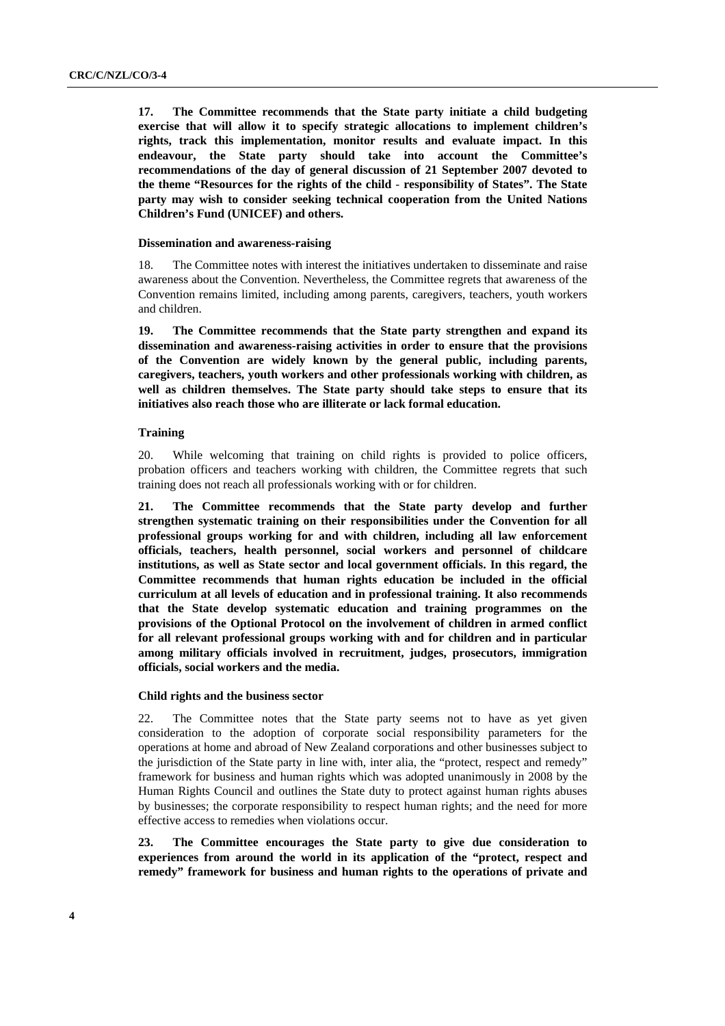**17. The Committee recommends that the State party initiate a child budgeting exercise that will allow it to specify strategic allocations to implement children's rights, track this implementation, monitor results and evaluate impact. In this endeavour, the State party should take into account the Committee's recommendations of the day of general discussion of 21 September 2007 devoted to the theme "Resources for the rights of the child** - **responsibility of States". The State party may wish to consider seeking technical cooperation from the United Nations Children's Fund (UNICEF) and others.** 

#### **Dissemination and awareness-raising**

18. The Committee notes with interest the initiatives undertaken to disseminate and raise awareness about the Convention. Nevertheless, the Committee regrets that awareness of the Convention remains limited, including among parents, caregivers, teachers, youth workers and children.

**19. The Committee recommends that the State party strengthen and expand its dissemination and awareness-raising activities in order to ensure that the provisions of the Convention are widely known by the general public, including parents, caregivers, teachers, youth workers and other professionals working with children, as well as children themselves. The State party should take steps to ensure that its initiatives also reach those who are illiterate or lack formal education.** 

### **Training**

20. While welcoming that training on child rights is provided to police officers, probation officers and teachers working with children, the Committee regrets that such training does not reach all professionals working with or for children.

**21. The Committee recommends that the State party develop and further strengthen systematic training on their responsibilities under the Convention for all professional groups working for and with children, including all law enforcement officials, teachers, health personnel, social workers and personnel of childcare institutions, as well as State sector and local government officials. In this regard, the Committee recommends that human rights education be included in the official curriculum at all levels of education and in professional training. It also recommends that the State develop systematic education and training programmes on the provisions of the Optional Protocol on the involvement of children in armed conflict for all relevant professional groups working with and for children and in particular among military officials involved in recruitment, judges, prosecutors, immigration officials, social workers and the media.** 

#### **Child rights and the business sector**

22. The Committee notes that the State party seems not to have as yet given consideration to the adoption of corporate social responsibility parameters for the operations at home and abroad of New Zealand corporations and other businesses subject to the jurisdiction of the State party in line with, inter alia, the "protect, respect and remedy" framework for business and human rights which was adopted unanimously in 2008 by the Human Rights Council and outlines the State duty to protect against human rights abuses by businesses; the corporate responsibility to respect human rights; and the need for more effective access to remedies when violations occur.

**23. The Committee encourages the State party to give due consideration to experiences from around the world in its application of the "protect, respect and remedy" framework for business and human rights to the operations of private and**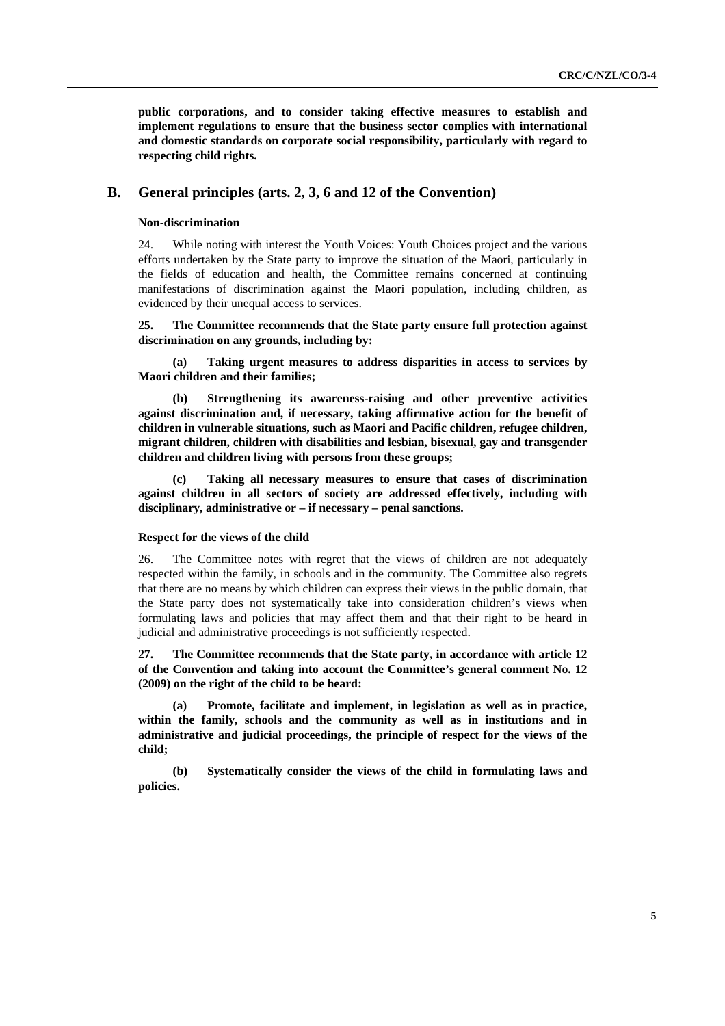**public corporations, and to consider taking effective measures to establish and implement regulations to ensure that the business sector complies with international and domestic standards on corporate social responsibility, particularly with regard to respecting child rights.** 

# **B. General principles (arts. 2, 3, 6 and 12 of the Convention)**

## **Non-discrimination**

24. While noting with interest the Youth Voices: Youth Choices project and the various efforts undertaken by the State party to improve the situation of the Maori, particularly in the fields of education and health, the Committee remains concerned at continuing manifestations of discrimination against the Maori population, including children, as evidenced by their unequal access to services.

## **25. The Committee recommends that the State party ensure full protection against discrimination on any grounds, including by:**

**(a) Taking urgent measures to address disparities in access to services by Maori children and their families;** 

**(b) Strengthening its awareness-raising and other preventive activities against discrimination and, if necessary, taking affirmative action for the benefit of children in vulnerable situations, such as Maori and Pacific children, refugee children, migrant children, children with disabilities and lesbian, bisexual, gay and transgender children and children living with persons from these groups;** 

**(c) Taking all necessary measures to ensure that cases of discrimination against children in all sectors of society are addressed effectively, including with disciplinary, administrative or – if necessary – penal sanctions.** 

#### **Respect for the views of the child**

26. The Committee notes with regret that the views of children are not adequately respected within the family, in schools and in the community. The Committee also regrets that there are no means by which children can express their views in the public domain, that the State party does not systematically take into consideration children's views when formulating laws and policies that may affect them and that their right to be heard in judicial and administrative proceedings is not sufficiently respected.

**27. The Committee recommends that the State party, in accordance with article 12 of the Convention and taking into account the Committee's general comment No. 12 (2009) on the right of the child to be heard:** 

**(a) Promote, facilitate and implement, in legislation as well as in practice, within the family, schools and the community as well as in institutions and in administrative and judicial proceedings, the principle of respect for the views of the child;** 

**(b) Systematically consider the views of the child in formulating laws and policies.**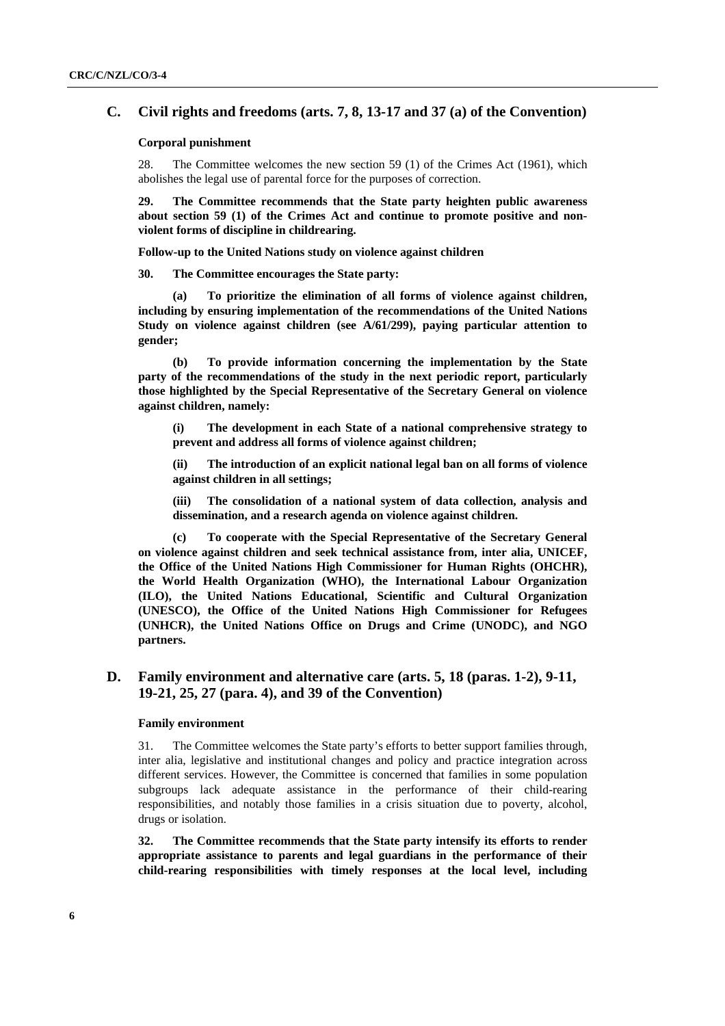# **C. Civil rights and freedoms (arts. 7, 8, 13-17 and 37 (a) of the Convention)**

#### **Corporal punishment**

28. The Committee welcomes the new section 59 (1) of the Crimes Act (1961), which abolishes the legal use of parental force for the purposes of correction.

**29. The Committee recommends that the State party heighten public awareness about section 59 (1) of the Crimes Act and continue to promote positive and nonviolent forms of discipline in childrearing.** 

**Follow-up to the United Nations study on violence against children** 

**30. The Committee encourages the State party:** 

To prioritize the elimination of all forms of violence against children, **including by ensuring implementation of the recommendations of the United Nations Study on violence against children (see A/61/299), paying particular attention to gender;** 

**(b) To provide information concerning the implementation by the State party of the recommendations of the study in the next periodic report, particularly those highlighted by the Special Representative of the Secretary General on violence against children, namely:** 

**(i) The development in each State of a national comprehensive strategy to prevent and address all forms of violence against children;** 

**(ii) The introduction of an explicit national legal ban on all forms of violence against children in all settings;** 

**(iii) The consolidation of a national system of data collection, analysis and dissemination, and a research agenda on violence against children.** 

**(c) To cooperate with the Special Representative of the Secretary General on violence against children and seek technical assistance from, inter alia, UNICEF, the Office of the United Nations High Commissioner for Human Rights (OHCHR), the World Health Organization (WHO), the International Labour Organization (ILO), the United Nations Educational, Scientific and Cultural Organization (UNESCO), the Office of the United Nations High Commissioner for Refugees (UNHCR), the United Nations Office on Drugs and Crime (UNODC), and NGO partners.** 

# **D. Family environment and alternative care (arts. 5, 18 (paras. 1-2), 9-11, 19-21, 25, 27 (para. 4), and 39 of the Convention)**

#### **Family environment**

31. The Committee welcomes the State party's efforts to better support families through, inter alia, legislative and institutional changes and policy and practice integration across different services. However, the Committee is concerned that families in some population subgroups lack adequate assistance in the performance of their child-rearing responsibilities, and notably those families in a crisis situation due to poverty, alcohol, drugs or isolation.

**32. The Committee recommends that the State party intensify its efforts to render appropriate assistance to parents and legal guardians in the performance of their child-rearing responsibilities with timely responses at the local level, including**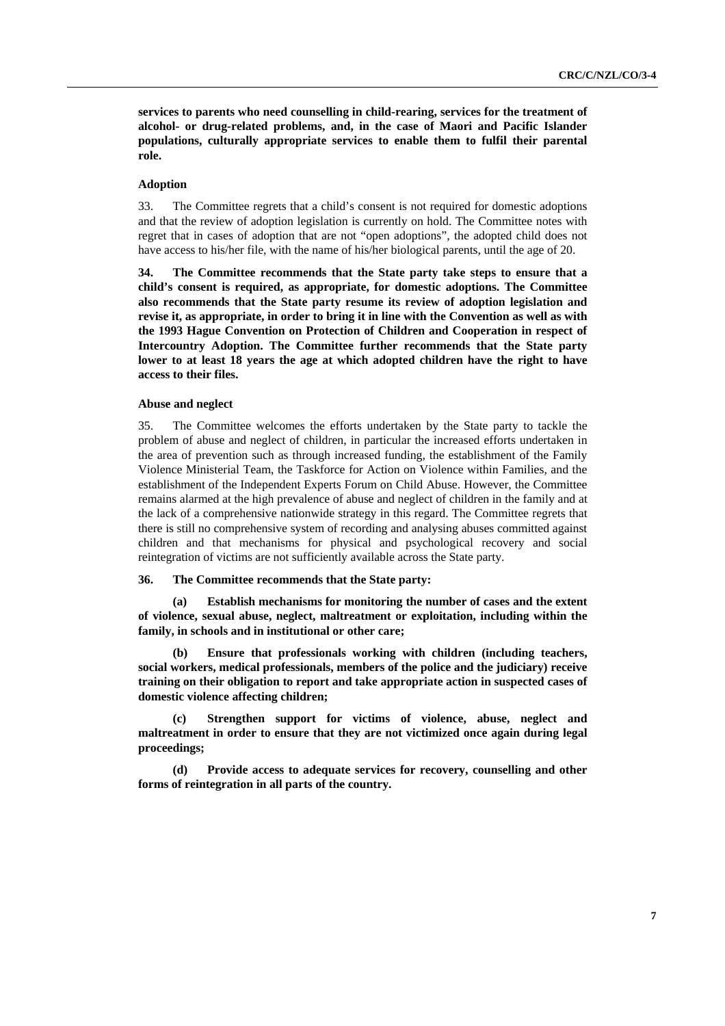**services to parents who need counselling in child-rearing, services for the treatment of alcohol- or drug-related problems, and, in the case of Maori and Pacific Islander populations, culturally appropriate services to enable them to fulfil their parental role.** 

### **Adoption**

33. The Committee regrets that a child's consent is not required for domestic adoptions and that the review of adoption legislation is currently on hold. The Committee notes with regret that in cases of adoption that are not "open adoptions", the adopted child does not have access to his/her file, with the name of his/her biological parents, until the age of 20.

**34. The Committee recommends that the State party take steps to ensure that a child's consent is required, as appropriate, for domestic adoptions. The Committee also recommends that the State party resume its review of adoption legislation and revise it, as appropriate, in order to bring it in line with the Convention as well as with the 1993 Hague Convention on Protection of Children and Cooperation in respect of Intercountry Adoption. The Committee further recommends that the State party lower to at least 18 years the age at which adopted children have the right to have access to their files.** 

#### **Abuse and neglect**

35. The Committee welcomes the efforts undertaken by the State party to tackle the problem of abuse and neglect of children, in particular the increased efforts undertaken in the area of prevention such as through increased funding, the establishment of the Family Violence Ministerial Team, the Taskforce for Action on Violence within Families, and the establishment of the Independent Experts Forum on Child Abuse. However, the Committee remains alarmed at the high prevalence of abuse and neglect of children in the family and at the lack of a comprehensive nationwide strategy in this regard. The Committee regrets that there is still no comprehensive system of recording and analysing abuses committed against children and that mechanisms for physical and psychological recovery and social reintegration of victims are not sufficiently available across the State party.

## **36. The Committee recommends that the State party:**

**(a) Establish mechanisms for monitoring the number of cases and the extent of violence, sexual abuse, neglect, maltreatment or exploitation, including within the family, in schools and in institutional or other care;** 

**(b) Ensure that professionals working with children (including teachers, social workers, medical professionals, members of the police and the judiciary) receive training on their obligation to report and take appropriate action in suspected cases of domestic violence affecting children;** 

**(c) Strengthen support for victims of violence, abuse, neglect and maltreatment in order to ensure that they are not victimized once again during legal proceedings;** 

**(d) Provide access to adequate services for recovery, counselling and other forms of reintegration in all parts of the country.**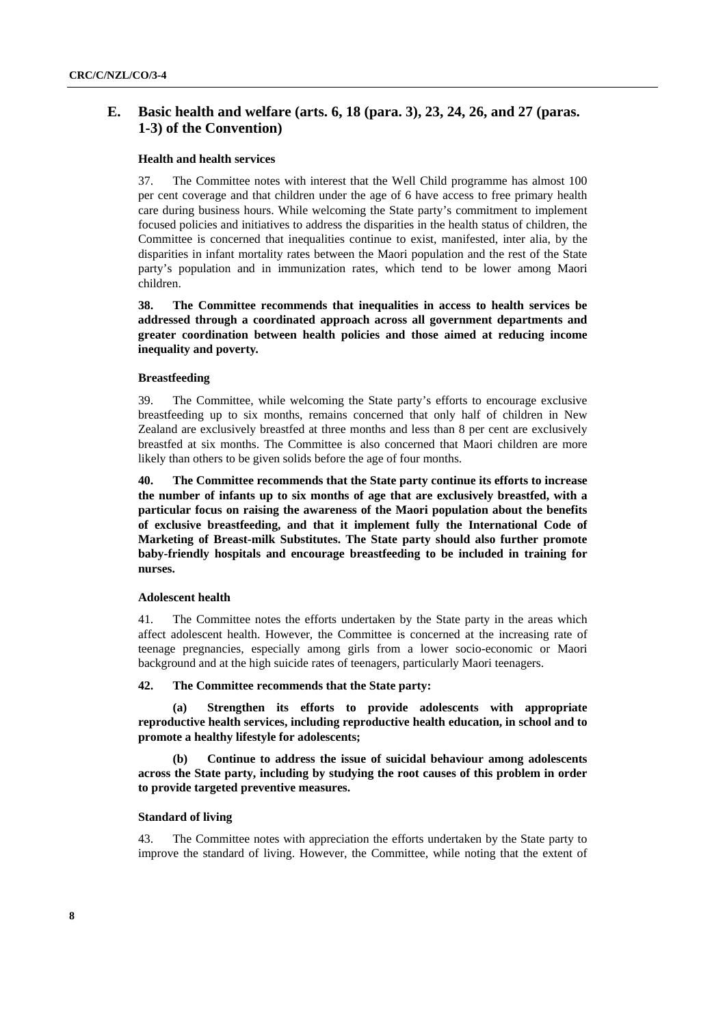# **E. Basic health and welfare (arts. 6, 18 (para. 3), 23, 24, 26, and 27 (paras. 1-3) of the Convention)**

## **Health and health services**

37. The Committee notes with interest that the Well Child programme has almost 100 per cent coverage and that children under the age of 6 have access to free primary health care during business hours. While welcoming the State party's commitment to implement focused policies and initiatives to address the disparities in the health status of children, the Committee is concerned that inequalities continue to exist, manifested, inter alia, by the disparities in infant mortality rates between the Maori population and the rest of the State party's population and in immunization rates, which tend to be lower among Maori children.

**38. The Committee recommends that inequalities in access to health services be addressed through a coordinated approach across all government departments and greater coordination between health policies and those aimed at reducing income inequality and poverty***.* 

#### **Breastfeeding**

39. The Committee, while welcoming the State party's efforts to encourage exclusive breastfeeding up to six months, remains concerned that only half of children in New Zealand are exclusively breastfed at three months and less than 8 per cent are exclusively breastfed at six months. The Committee is also concerned that Maori children are more likely than others to be given solids before the age of four months.

**40. The Committee recommends that the State party continue its efforts to increase the number of infants up to six months of age that are exclusively breastfed, with a particular focus on raising the awareness of the Maori population about the benefits of exclusive breastfeeding, and that it implement fully the International Code of Marketing of Breast-milk Substitutes. The State party should also further promote baby-friendly hospitals and encourage breastfeeding to be included in training for nurses.** 

#### **Adolescent health**

41. The Committee notes the efforts undertaken by the State party in the areas which affect adolescent health. However*,* the Committee is concerned at the increasing rate of teenage pregnancies, especially among girls from a lower socio-economic or Maori background and at the high suicide rates of teenagers, particularly Maori teenagers.

## **42. The Committee recommends that the State party:**

**Strengthen its efforts to provide adolescents with appropriate reproductive health services, including reproductive health education, in school and to promote a healthy lifestyle for adolescents;** 

**(b) Continue to address the issue of suicidal behaviour among adolescents across the State party, including by studying the root causes of this problem in order to provide targeted preventive measures.** 

#### **Standard of living**

43. The Committee notes with appreciation the efforts undertaken by the State party to improve the standard of living. However, the Committee, while noting that the extent of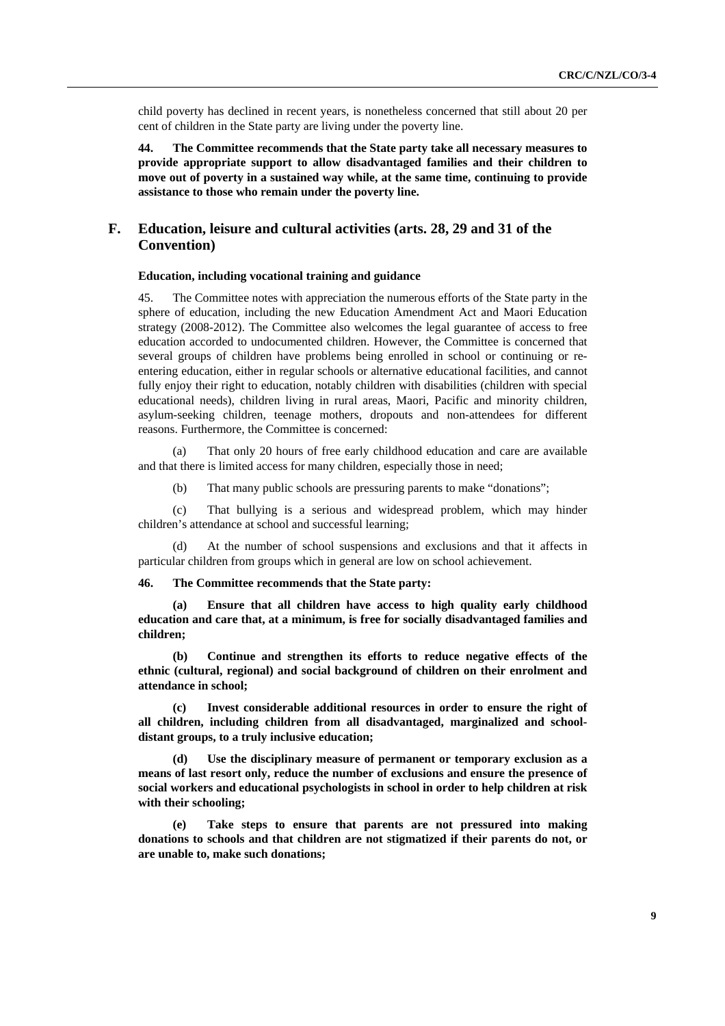child poverty has declined in recent years, is nonetheless concerned that still about 20 per cent of children in the State party are living under the poverty line.

**44. The Committee recommends that the State party take all necessary measures to provide appropriate support to allow disadvantaged families and their children to move out of poverty in a sustained way while, at the same time, continuing to provide assistance to those who remain under the poverty line.** 

# **F. Education, leisure and cultural activities (arts. 28, 29 and 31 of the Convention)**

## **Education, including vocational training and guidance**

45. The Committee notes with appreciation the numerous efforts of the State party in the sphere of education, including the new Education Amendment Act and Maori Education strategy (2008-2012). The Committee also welcomes the legal guarantee of access to free education accorded to undocumented children. However, the Committee is concerned that several groups of children have problems being enrolled in school or continuing or reentering education, either in regular schools or alternative educational facilities, and cannot fully enjoy their right to education, notably children with disabilities (children with special educational needs), children living in rural areas, Maori, Pacific and minority children, asylum-seeking children, teenage mothers, dropouts and non-attendees for different reasons. Furthermore, the Committee is concerned:

(a) That only 20 hours of free early childhood education and care are available and that there is limited access for many children, especially those in need;

(b) That many public schools are pressuring parents to make "donations";

(c) That bullying is a serious and widespread problem, which may hinder children's attendance at school and successful learning;

At the number of school suspensions and exclusions and that it affects in particular children from groups which in general are low on school achievement.

#### **46. The Committee recommends that the State party:**

**(a) Ensure that all children have access to high quality early childhood education and care that, at a minimum, is free for socially disadvantaged families and children;** 

**(b) Continue and strengthen its efforts to reduce negative effects of the ethnic (cultural, regional) and social background of children on their enrolment and attendance in school;** 

Invest considerable additional resources in order to ensure the right of **all children, including children from all disadvantaged, marginalized and schooldistant groups, to a truly inclusive education;** 

Use the disciplinary measure of permanent or temporary exclusion as a **means of last resort only, reduce the number of exclusions and ensure the presence of social workers and educational psychologists in school in order to help children at risk with their schooling;** 

**(e) Take steps to ensure that parents are not pressured into making donations to schools and that children are not stigmatized if their parents do not, or are unable to, make such donations;**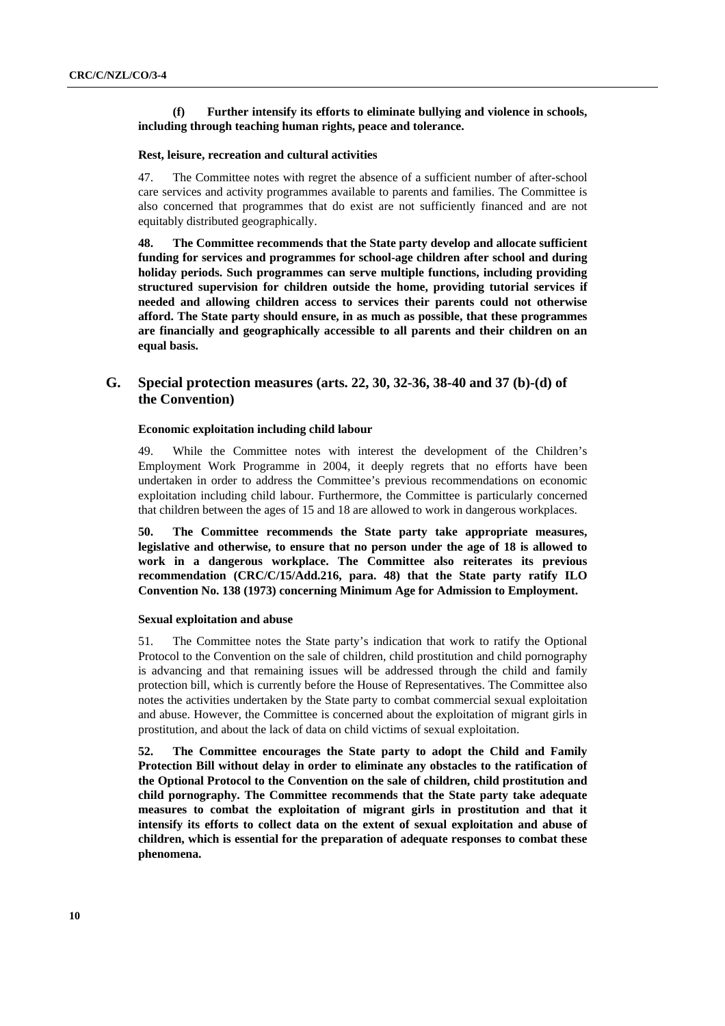## **(f) Further intensify its efforts to eliminate bullying and violence in schools, including through teaching human rights, peace and tolerance.**

### **Rest, leisure, recreation and cultural activities**

47. The Committee notes with regret the absence of a sufficient number of after-school care services and activity programmes available to parents and families. The Committee is also concerned that programmes that do exist are not sufficiently financed and are not equitably distributed geographically.

**48. The Committee recommends that the State party develop and allocate sufficient funding for services and programmes for school-age children after school and during holiday periods. Such programmes can serve multiple functions, including providing structured supervision for children outside the home, providing tutorial services if needed and allowing children access to services their parents could not otherwise afford. The State party should ensure, in as much as possible, that these programmes are financially and geographically accessible to all parents and their children on an equal basis.** 

# **G. Special protection measures (arts. 22, 30, 32-36, 38-40 and 37 (b)-(d) of the Convention)**

#### **Economic exploitation including child labour**

49. While the Committee notes with interest the development of the Children's Employment Work Programme in 2004, it deeply regrets that no efforts have been undertaken in order to address the Committee's previous recommendations on economic exploitation including child labour. Furthermore, the Committee is particularly concerned that children between the ages of 15 and 18 are allowed to work in dangerous workplaces.

**50. The Committee recommends the State party take appropriate measures, legislative and otherwise, to ensure that no person under the age of 18 is allowed to work in a dangerous workplace. The Committee also reiterates its previous recommendation (CRC/C/15/Add.216, para. 48) that the State party ratify ILO Convention No. 138 (1973) concerning Minimum Age for Admission to Employment.** 

## **Sexual exploitation and abuse**

51. The Committee notes the State party's indication that work to ratify the Optional Protocol to the Convention on the sale of children, child prostitution and child pornography is advancing and that remaining issues will be addressed through the child and family protection bill, which is currently before the House of Representatives. The Committee also notes the activities undertaken by the State party to combat commercial sexual exploitation and abuse. However, the Committee is concerned about the exploitation of migrant girls in prostitution, and about the lack of data on child victims of sexual exploitation.

**52. The Committee encourages the State party to adopt the Child and Family Protection Bill without delay in order to eliminate any obstacles to the ratification of the Optional Protocol to the Convention on the sale of children, child prostitution and child pornography. The Committee recommends that the State party take adequate measures to combat the exploitation of migrant girls in prostitution and that it intensify its efforts to collect data on the extent of sexual exploitation and abuse of children, which is essential for the preparation of adequate responses to combat these phenomena.**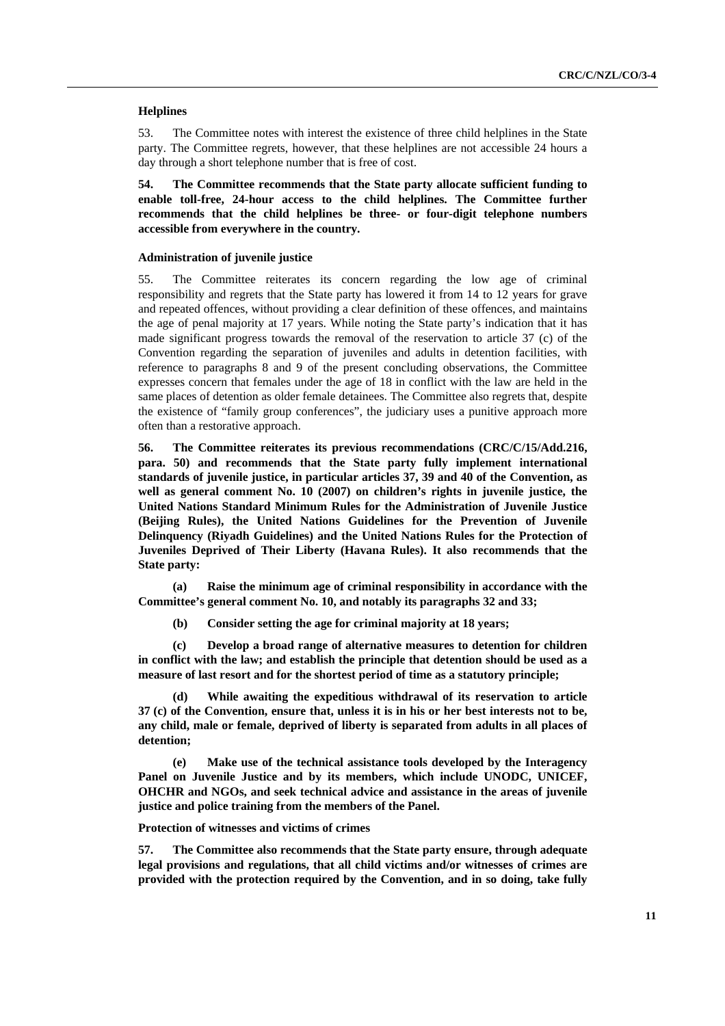### **Helplines**

53. The Committee notes with interest the existence of three child helplines in the State party. The Committee regrets, however, that these helplines are not accessible 24 hours a day through a short telephone number that is free of cost.

**54. The Committee recommends that the State party allocate sufficient funding to enable toll-free, 24-hour access to the child helplines. The Committee further recommends that the child helplines be three- or four-digit telephone numbers accessible from everywhere in the country.** 

#### **Administration of juvenile justice**

55. The Committee reiterates its concern regarding the low age of criminal responsibility and regrets that the State party has lowered it from 14 to 12 years for grave and repeated offences, without providing a clear definition of these offences, and maintains the age of penal majority at 17 years. While noting the State party's indication that it has made significant progress towards the removal of the reservation to article 37 (c) of the Convention regarding the separation of juveniles and adults in detention facilities, with reference to paragraphs 8 and 9 of the present concluding observations, the Committee expresses concern that females under the age of 18 in conflict with the law are held in the same places of detention as older female detainees. The Committee also regrets that, despite the existence of "family group conferences", the judiciary uses a punitive approach more often than a restorative approach.

**56. The Committee reiterates its previous recommendations (CRC/C/15/Add.216, para. 50) and recommends that the State party fully implement international standards of juvenile justice, in particular articles 37, 39 and 40 of the Convention, as well as general comment No. 10 (2007) on children's rights in juvenile justice, the United Nations Standard Minimum Rules for the Administration of Juvenile Justice (Beijing Rules), the United Nations Guidelines for the Prevention of Juvenile Delinquency (Riyadh Guidelines) and the United Nations Rules for the Protection of Juveniles Deprived of Their Liberty (Havana Rules). It also recommends that the State party:** 

**(a) Raise the minimum age of criminal responsibility in accordance with the Committee's general comment No. 10, and notably its paragraphs 32 and 33;** 

**(b) Consider setting the age for criminal majority at 18 years;** 

**(c) Develop a broad range of alternative measures to detention for children in conflict with the law; and establish the principle that detention should be used as a measure of last resort and for the shortest period of time as a statutory principle;** 

**(d) While awaiting the expeditious withdrawal of its reservation to article 37 (c) of the Convention, ensure that, unless it is in his or her best interests not to be, any child, male or female, deprived of liberty is separated from adults in all places of detention;** 

**(e) Make use of the technical assistance tools developed by the Interagency Panel on Juvenile Justice and by its members, which include UNODC, UNICEF, OHCHR and NGOs, and seek technical advice and assistance in the areas of juvenile justice and police training from the members of the Panel.** 

#### **Protection of witnesses and victims of crimes**

**57. The Committee also recommends that the State party ensure, through adequate legal provisions and regulations, that all child victims and/or witnesses of crimes are provided with the protection required by the Convention, and in so doing, take fully**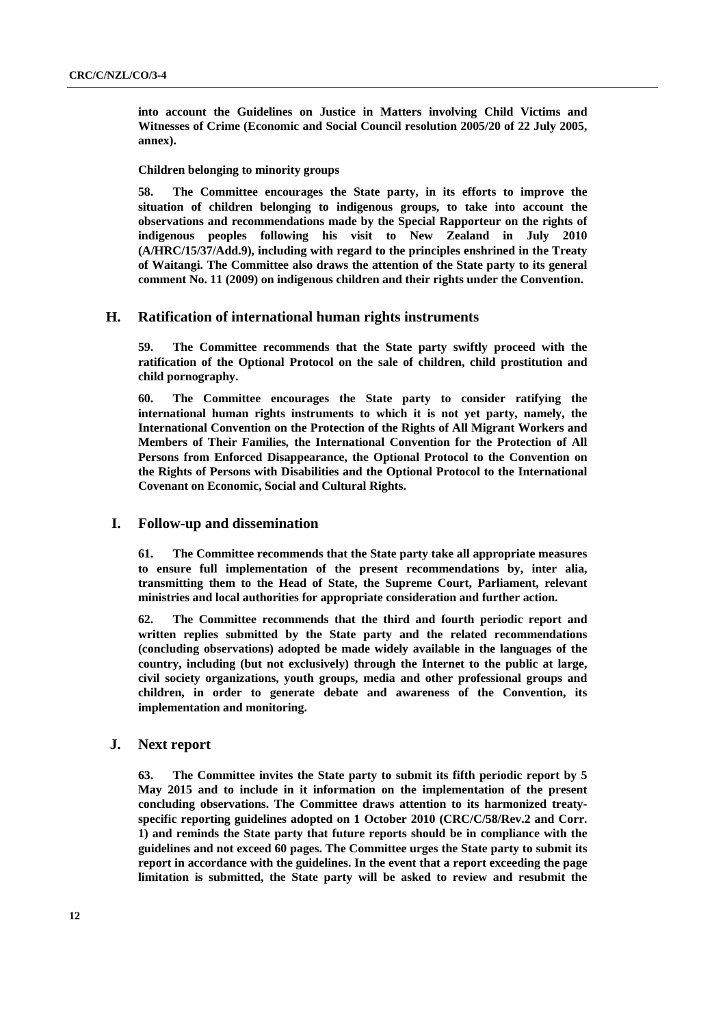**into account the Guidelines on Justice in Matters involving Child Victims and Witnesses of Crime (Economic and Social Council resolution 2005/20 of 22 July 2005, annex).** 

 **Children belonging to minority groups** 

**58. The Committee encourages the State party, in its efforts to improve the situation of children belonging to indigenous groups, to take into account the observations and recommendations made by the Special Rapporteur on the rights of indigenous peoples following his visit to New Zealand in July 2010 (A/HRC/15/37/Add.9), including with regard to the principles enshrined in the Treaty of Waitangi. The Committee also draws the attention of the State party to its general comment No. 11 (2009) on indigenous children and their rights under the Convention.** 

# **H. Ratification of international human rights instruments**

**59. The Committee recommends that the State party swiftly proceed with the ratification of the Optional Protocol on the sale of children, child prostitution and child pornography.**

**60. The Committee encourages the State party to consider ratifying the international human rights instruments to which it is not yet party, namely, the International Convention on the Protection of the Rights of All Migrant Workers and Members of Their Families***,* **the International Convention for the Protection of All Persons from Enforced Disappearance, the Optional Protocol to the Convention on the Rights of Persons with Disabilities and the Optional Protocol to the International Covenant on Economic, Social and Cultural Rights.** 

### **I. Follow-up and dissemination**

**61. The Committee recommends that the State party take all appropriate measures to ensure full implementation of the present recommendations by, inter alia, transmitting them to the Head of State, the Supreme Court, Parliament, relevant ministries and local authorities for appropriate consideration and further action.** 

**62. The Committee recommends that the third and fourth periodic report and written replies submitted by the State party and the related recommendations (concluding observations) adopted be made widely available in the languages of the country, including (but not exclusively) through the Internet to the public at large, civil society organizations, youth groups, media and other professional groups and children, in order to generate debate and awareness of the Convention, its implementation and monitoring.**

# **J. Next report**

**63. The Committee invites the State party to submit its fifth periodic report by 5 May 2015 and to include in it information on the implementation of the present concluding observations. The Committee draws attention to its harmonized treatyspecific reporting guidelines adopted on 1 October 2010 (CRC/C/58/Rev.2 and Corr. 1) and reminds the State party that future reports should be in compliance with the guidelines and not exceed 60 pages. The Committee urges the State party to submit its report in accordance with the guidelines. In the event that a report exceeding the page limitation is submitted, the State party will be asked to review and resubmit the**